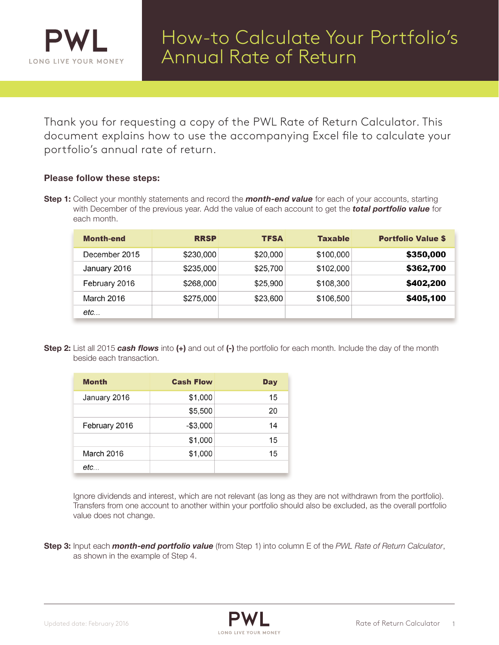

Thank you for requesting a copy of the PWL Rate of Return Calculator. This document explains how to use the accompanying Excel file to calculate your portfolio's annual rate of return.

## Please follow these steps:

**Step 1:** Collect your monthly statements and record the **month-end value** for each of your accounts, starting with December of the previous year. Add the value of each account to get the *total portfolio value* for each month.

| <b>Month-end</b> | <b>RRSP</b> | <b>TFSA</b> | <b>Taxable</b> | <b>Portfolio Value \$</b> |
|------------------|-------------|-------------|----------------|---------------------------|
| December 2015    | \$230,000   | \$20,000    | \$100,000      | \$350,000                 |
| January 2016     | \$235,000   | \$25,700    | \$102,000      | \$362,700                 |
| February 2016    | \$268,000   | \$25,900    | \$108,300      | \$402,200                 |
| March 2016       | \$275,000   | \$23,600    | \$106,500      | \$405,100                 |
| etc              |             |             |                |                           |

Step 2: List all 2015 *cash flows* into (+) and out of (-) the portfolio for each month. Include the day of the month beside each transaction.

| <b>Month</b>  | <b>Cash Flow</b> | Day |
|---------------|------------------|-----|
| January 2016  | \$1,000          | 15  |
|               | \$5,500          | 20  |
| February 2016 | $-$3,000$        | 14  |
|               | \$1,000          | 15  |
| March 2016    | \$1,000          | 15  |
| etc           |                  |     |

Ignore dividends and interest, which are not relevant (as long as they are not withdrawn from the portfolio). Transfers from one account to another within your portfolio should also be excluded, as the overall portfolio value does not change.

Step 3: Input each *month-end portfolio value* (from Step 1) into column E of the *PWL Rate of Return Calculator*, as shown in the example of Step 4.